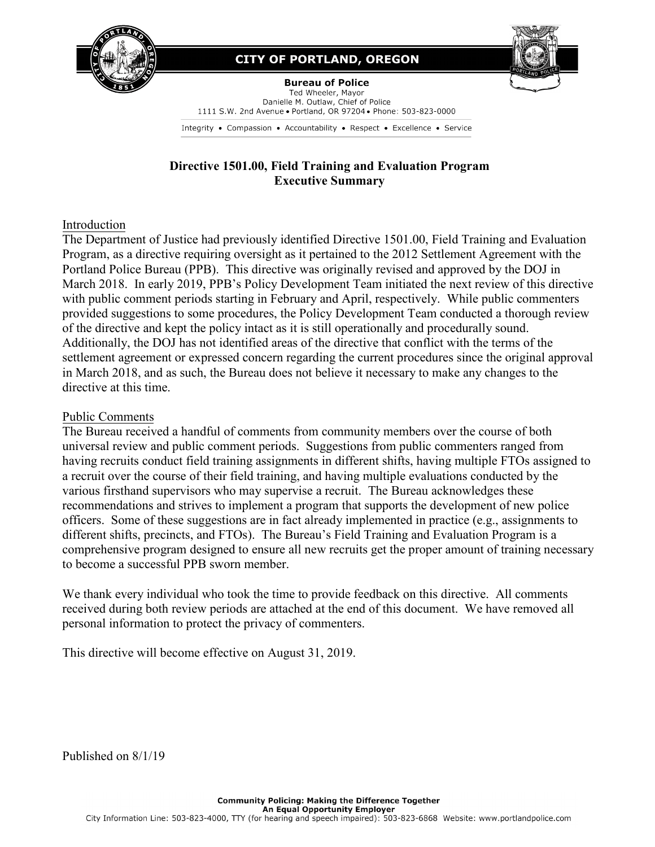

# **CITY OF PORTLAND, OREGON**



**Bureau of Police** Ted Wheeler, Mayor Danielle M. Outlaw, Chief of Police 1111 S.W. 2nd Avenue . Portland, OR 97204 . Phone: 503-823-0000

Integrity • Compassion • Accountability • Respect • Excellence • Service

# **Directive 1501.00, Field Training and Evaluation Program Executive Summary**

### Introduction

The Department of Justice had previously identified Directive 1501.00, Field Training and Evaluation Program, as a directive requiring oversight as it pertained to the 2012 Settlement Agreement with the Portland Police Bureau (PPB). This directive was originally revised and approved by the DOJ in March 2018. In early 2019, PPB's Policy Development Team initiated the next review of this directive with public comment periods starting in February and April, respectively. While public commenters provided suggestions to some procedures, the Policy Development Team conducted a thorough review of the directive and kept the policy intact as it is still operationally and procedurally sound. Additionally, the DOJ has not identified areas of the directive that conflict with the terms of the settlement agreement or expressed concern regarding the current procedures since the original approval in March 2018, and as such, the Bureau does not believe it necessary to make any changes to the directive at this time.

### Public Comments

The Bureau received a handful of comments from community members over the course of both universal review and public comment periods. Suggestions from public commenters ranged from having recruits conduct field training assignments in different shifts, having multiple FTOs assigned to a recruit over the course of their field training, and having multiple evaluations conducted by the various firsthand supervisors who may supervise a recruit. The Bureau acknowledges these recommendations and strives to implement a program that supports the development of new police officers. Some of these suggestions are in fact already implemented in practice (e.g., assignments to different shifts, precincts, and FTOs). The Bureau's Field Training and Evaluation Program is a comprehensive program designed to ensure all new recruits get the proper amount of training necessary to become a successful PPB sworn member.

We thank every individual who took the time to provide feedback on this directive. All comments received during both review periods are attached at the end of this document. We have removed all personal information to protect the privacy of commenters.

This directive will become effective on August 31, 2019.

Published on 8/1/19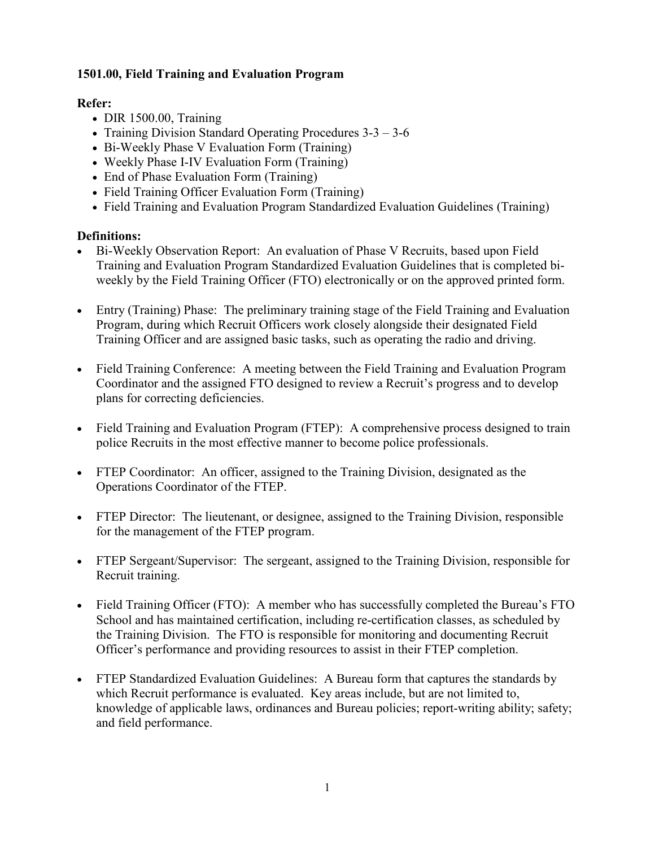### **1501.00, Field Training and Evaluation Program**

## **Refer:**

- DIR 1500.00, Training
- Training Division Standard Operating Procedures 3-3 3-6
- Bi-Weekly Phase V Evaluation Form (Training)
- Weekly Phase I-IV Evaluation Form (Training)
- End of Phase Evaluation Form (Training)
- Field Training Officer Evaluation Form (Training)
- Field Training and Evaluation Program Standardized Evaluation Guidelines (Training)

## **Definitions:**

- Bi-Weekly Observation Report: An evaluation of Phase V Recruits, based upon Field Training and Evaluation Program Standardized Evaluation Guidelines that is completed biweekly by the Field Training Officer (FTO) electronically or on the approved printed form.
- Entry (Training) Phase: The preliminary training stage of the Field Training and Evaluation Program, during which Recruit Officers work closely alongside their designated Field Training Officer and are assigned basic tasks, such as operating the radio and driving.
- Field Training Conference: A meeting between the Field Training and Evaluation Program Coordinator and the assigned FTO designed to review a Recruit's progress and to develop plans for correcting deficiencies.
- Field Training and Evaluation Program (FTEP): A comprehensive process designed to train police Recruits in the most effective manner to become police professionals.
- FTEP Coordinator: An officer, assigned to the Training Division, designated as the Operations Coordinator of the FTEP.
- FTEP Director: The lieutenant, or designee, assigned to the Training Division, responsible for the management of the FTEP program.
- FTEP Sergeant/Supervisor: The sergeant, assigned to the Training Division, responsible for Recruit training.
- Field Training Officer (FTO): A member who has successfully completed the Bureau's FTO School and has maintained certification, including re-certification classes, as scheduled by the Training Division. The FTO is responsible for monitoring and documenting Recruit Officer's performance and providing resources to assist in their FTEP completion.
- FTEP Standardized Evaluation Guidelines: A Bureau form that captures the standards by which Recruit performance is evaluated. Key areas include, but are not limited to, knowledge of applicable laws, ordinances and Bureau policies; report-writing ability; safety; and field performance.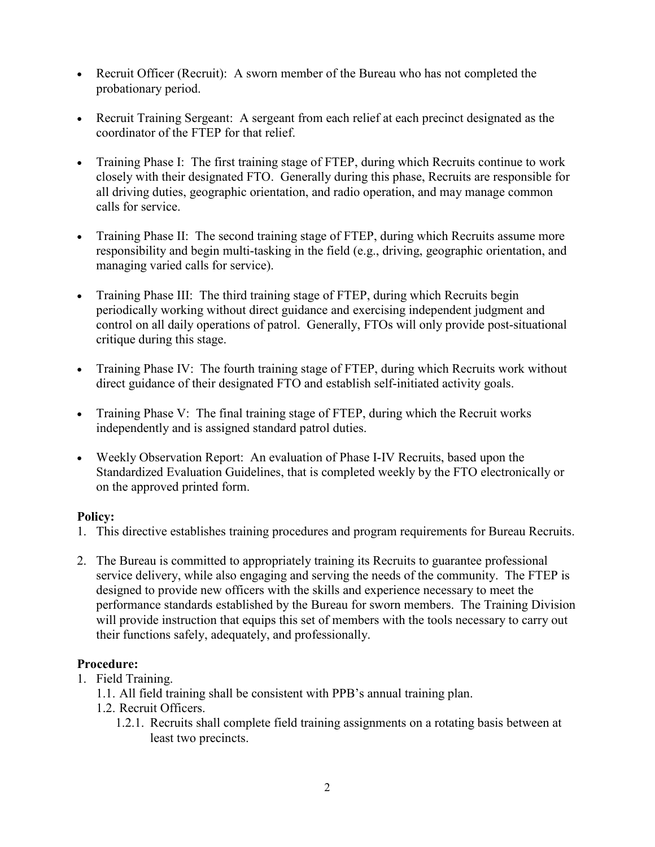- Recruit Officer (Recruit): A sworn member of the Bureau who has not completed the probationary period.
- Recruit Training Sergeant: A sergeant from each relief at each precinct designated as the coordinator of the FTEP for that relief.
- Training Phase I: The first training stage of FTEP, during which Recruits continue to work closely with their designated FTO. Generally during this phase, Recruits are responsible for all driving duties, geographic orientation, and radio operation, and may manage common calls for service.
- Training Phase II: The second training stage of FTEP, during which Recruits assume more responsibility and begin multi-tasking in the field (e.g., driving, geographic orientation, and managing varied calls for service).
- Training Phase III: The third training stage of FTEP, during which Recruits begin periodically working without direct guidance and exercising independent judgment and control on all daily operations of patrol. Generally, FTOs will only provide post-situational critique during this stage.
- Training Phase IV: The fourth training stage of FTEP, during which Recruits work without direct guidance of their designated FTO and establish self-initiated activity goals.
- Training Phase V: The final training stage of FTEP, during which the Recruit works independently and is assigned standard patrol duties.
- Weekly Observation Report: An evaluation of Phase I-IV Recruits, based upon the Standardized Evaluation Guidelines, that is completed weekly by the FTO electronically or on the approved printed form.

### **Policy:**

- 1. This directive establishes training procedures and program requirements for Bureau Recruits.
- 2. The Bureau is committed to appropriately training its Recruits to guarantee professional service delivery, while also engaging and serving the needs of the community. The FTEP is designed to provide new officers with the skills and experience necessary to meet the performance standards established by the Bureau for sworn members. The Training Division will provide instruction that equips this set of members with the tools necessary to carry out their functions safely, adequately, and professionally.

### **Procedure:**

- 1. Field Training.
	- 1.1. All field training shall be consistent with PPB's annual training plan.
	- 1.2. Recruit Officers.
		- 1.2.1. Recruits shall complete field training assignments on a rotating basis between at least two precincts.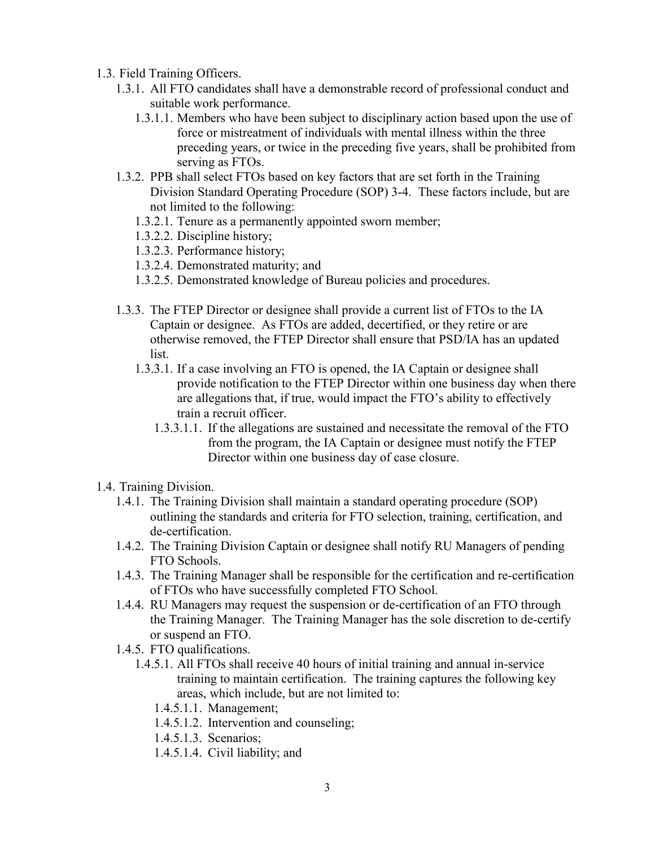- 1.3. Field Training Officers.
	- 1.3.1. All FTO candidates shall have a demonstrable record of professional conduct and suitable work performance.
		- 1.3.1.1. Members who have been subject to disciplinary action based upon the use of force or mistreatment of individuals with mental illness within the three preceding years, or twice in the preceding five years, shall be prohibited from serving as FTOs.
	- 1.3.2. PPB shall select FTOs based on key factors that are set forth in the Training Division Standard Operating Procedure (SOP) 3-4. These factors include, but are not limited to the following:
		- 1.3.2.1. Tenure as a permanently appointed sworn member;
		- 1.3.2.2. Discipline history;
		- 1.3.2.3. Performance history;
		- 1.3.2.4. Demonstrated maturity; and
		- 1.3.2.5. Demonstrated knowledge of Bureau policies and procedures.
	- 1.3.3. The FTEP Director or designee shall provide a current list of FTOs to the IA Captain or designee. As FTOs are added, decertified, or they retire or are otherwise removed, the FTEP Director shall ensure that PSD/IA has an updated list.
		- 1.3.3.1. If a case involving an FTO is opened, the IA Captain or designee shall provide notification to the FTEP Director within one business day when there are allegations that, if true, would impact the FTO's ability to effectively train a recruit officer.
			- 1.3.3.1.1. If the allegations are sustained and necessitate the removal of the FTO from the program, the IA Captain or designee must notify the FTEP Director within one business day of case closure.
- 1.4. Training Division.
	- 1.4.1. The Training Division shall maintain a standard operating procedure (SOP) outlining the standards and criteria for FTO selection, training, certification, and de-certification.
	- 1.4.2. The Training Division Captain or designee shall notify RU Managers of pending FTO Schools.
	- 1.4.3. The Training Manager shall be responsible for the certification and re-certification of FTOs who have successfully completed FTO School.
	- 1.4.4. RU Managers may request the suspension or de-certification of an FTO through the Training Manager. The Training Manager has the sole discretion to de-certify or suspend an FTO.
	- 1.4.5. FTO qualifications.
		- 1.4.5.1. All FTOs shall receive 40 hours of initial training and annual in-service training to maintain certification. The training captures the following key areas, which include, but are not limited to:
			- 1.4.5.1.1. Management;
			- 1.4.5.1.2. Intervention and counseling;
			- 1.4.5.1.3. Scenarios;
			- 1.4.5.1.4. Civil liability; and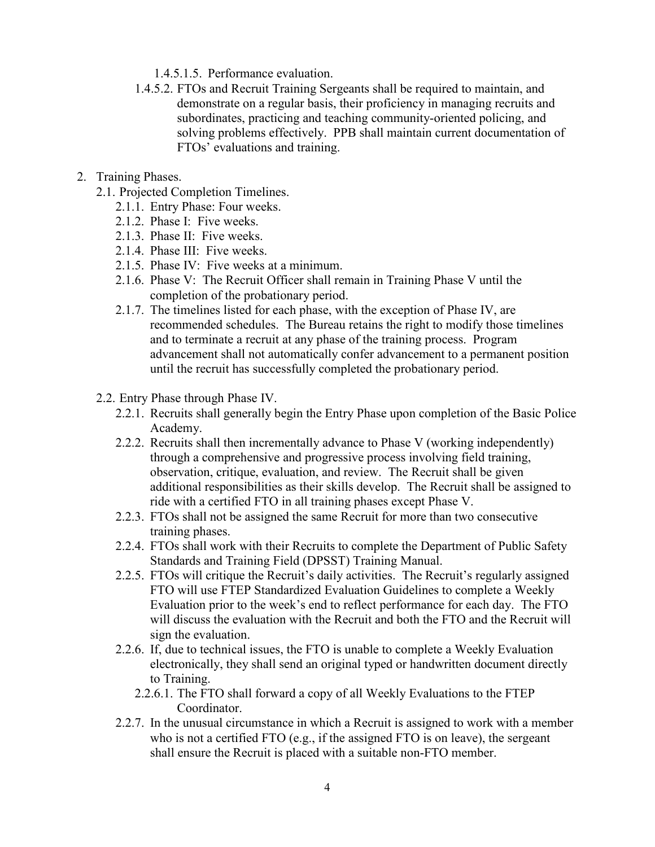- 1.4.5.1.5. Performance evaluation.
- 1.4.5.2. FTOs and Recruit Training Sergeants shall be required to maintain, and demonstrate on a regular basis, their proficiency in managing recruits and subordinates, practicing and teaching community-oriented policing, and solving problems effectively. PPB shall maintain current documentation of FTOs' evaluations and training.
- 2. Training Phases.
	- 2.1. Projected Completion Timelines.
		- 2.1.1. Entry Phase: Four weeks.
		- 2.1.2. Phase I: Five weeks.
		- 2.1.3. Phase II: Five weeks.
		- 2.1.4. Phase III: Five weeks.
		- 2.1.5. Phase IV: Five weeks at a minimum.
		- 2.1.6. Phase V: The Recruit Officer shall remain in Training Phase V until the completion of the probationary period.
		- 2.1.7. The timelines listed for each phase, with the exception of Phase IV, are recommended schedules. The Bureau retains the right to modify those timelines and to terminate a recruit at any phase of the training process. Program advancement shall not automatically confer advancement to a permanent position until the recruit has successfully completed the probationary period.
	- 2.2. Entry Phase through Phase IV.
		- 2.2.1. Recruits shall generally begin the Entry Phase upon completion of the Basic Police Academy.
		- 2.2.2. Recruits shall then incrementally advance to Phase V (working independently) through a comprehensive and progressive process involving field training, observation, critique, evaluation, and review. The Recruit shall be given additional responsibilities as their skills develop. The Recruit shall be assigned to ride with a certified FTO in all training phases except Phase V.
		- 2.2.3. FTOs shall not be assigned the same Recruit for more than two consecutive training phases.
		- 2.2.4. FTOs shall work with their Recruits to complete the Department of Public Safety Standards and Training Field (DPSST) Training Manual.
		- 2.2.5. FTOs will critique the Recruit's daily activities. The Recruit's regularly assigned FTO will use FTEP Standardized Evaluation Guidelines to complete a Weekly Evaluation prior to the week's end to reflect performance for each day. The FTO will discuss the evaluation with the Recruit and both the FTO and the Recruit will sign the evaluation.
		- 2.2.6. If, due to technical issues, the FTO is unable to complete a Weekly Evaluation electronically, they shall send an original typed or handwritten document directly to Training.
			- 2.2.6.1. The FTO shall forward a copy of all Weekly Evaluations to the FTEP Coordinator.
		- 2.2.7. In the unusual circumstance in which a Recruit is assigned to work with a member who is not a certified FTO (e.g., if the assigned FTO is on leave), the sergeant shall ensure the Recruit is placed with a suitable non-FTO member.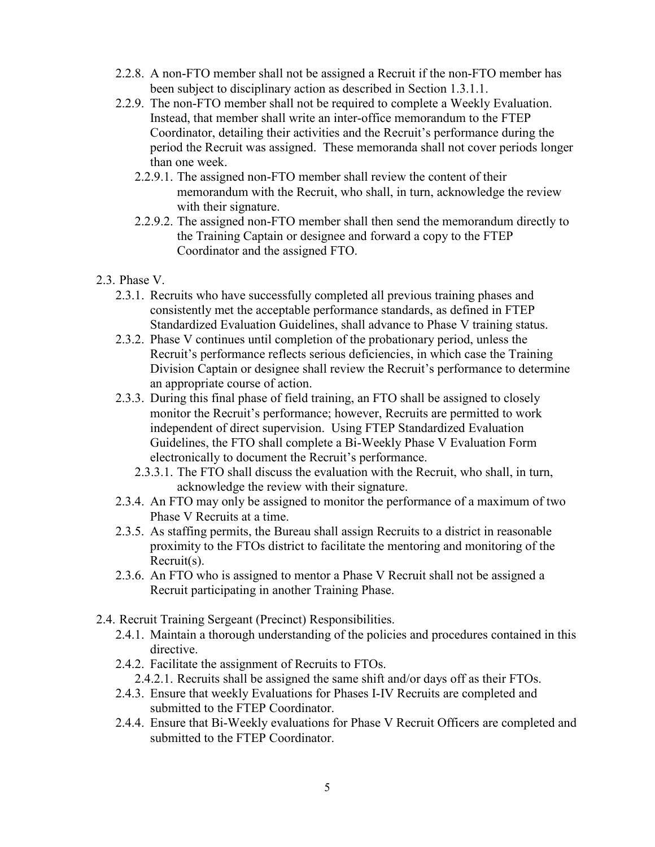- 2.2.8. A non-FTO member shall not be assigned a Recruit if the non-FTO member has been subject to disciplinary action as described in Section 1.3.1.1.
- 2.2.9. The non-FTO member shall not be required to complete a Weekly Evaluation. Instead, that member shall write an inter-office memorandum to the FTEP Coordinator, detailing their activities and the Recruit's performance during the period the Recruit was assigned. These memoranda shall not cover periods longer than one week.
	- 2.2.9.1. The assigned non-FTO member shall review the content of their memorandum with the Recruit, who shall, in turn, acknowledge the review with their signature.
	- 2.2.9.2. The assigned non-FTO member shall then send the memorandum directly to the Training Captain or designee and forward a copy to the FTEP Coordinator and the assigned FTO.
- 2.3. Phase V.
	- 2.3.1. Recruits who have successfully completed all previous training phases and consistently met the acceptable performance standards, as defined in FTEP Standardized Evaluation Guidelines, shall advance to Phase V training status.
	- 2.3.2. Phase V continues until completion of the probationary period, unless the Recruit's performance reflects serious deficiencies, in which case the Training Division Captain or designee shall review the Recruit's performance to determine an appropriate course of action.
	- 2.3.3. During this final phase of field training, an FTO shall be assigned to closely monitor the Recruit's performance; however, Recruits are permitted to work independent of direct supervision. Using FTEP Standardized Evaluation Guidelines, the FTO shall complete a Bi-Weekly Phase V Evaluation Form electronically to document the Recruit's performance.
		- 2.3.3.1. The FTO shall discuss the evaluation with the Recruit, who shall, in turn, acknowledge the review with their signature.
	- 2.3.4. An FTO may only be assigned to monitor the performance of a maximum of two Phase V Recruits at a time.
	- 2.3.5. As staffing permits, the Bureau shall assign Recruits to a district in reasonable proximity to the FTOs district to facilitate the mentoring and monitoring of the Recruit(s).
	- 2.3.6. An FTO who is assigned to mentor a Phase V Recruit shall not be assigned a Recruit participating in another Training Phase.
- 2.4. Recruit Training Sergeant (Precinct) Responsibilities.
	- 2.4.1. Maintain a thorough understanding of the policies and procedures contained in this directive.
	- 2.4.2. Facilitate the assignment of Recruits to FTOs.
		- 2.4.2.1. Recruits shall be assigned the same shift and/or days off as their FTOs.
	- 2.4.3. Ensure that weekly Evaluations for Phases I-IV Recruits are completed and submitted to the FTEP Coordinator.
	- 2.4.4. Ensure that Bi-Weekly evaluations for Phase V Recruit Officers are completed and submitted to the FTEP Coordinator.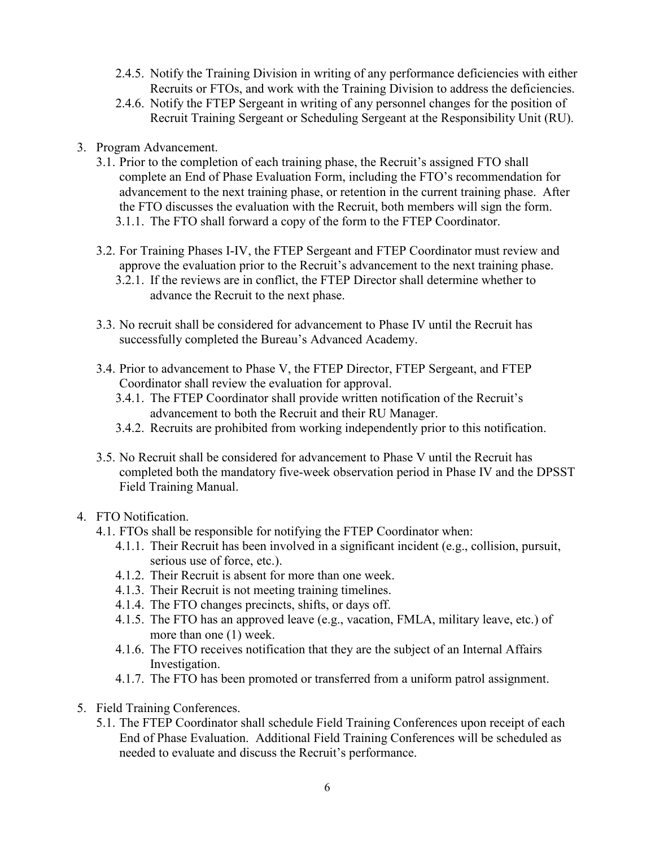- 2.4.5. Notify the Training Division in writing of any performance deficiencies with either Recruits or FTOs, and work with the Training Division to address the deficiencies.
- 2.4.6. Notify the FTEP Sergeant in writing of any personnel changes for the position of Recruit Training Sergeant or Scheduling Sergeant at the Responsibility Unit (RU).
- 3. Program Advancement.
	- 3.1. Prior to the completion of each training phase, the Recruit's assigned FTO shall complete an End of Phase Evaluation Form, including the FTO's recommendation for advancement to the next training phase, or retention in the current training phase. After the FTO discusses the evaluation with the Recruit, both members will sign the form. 3.1.1. The FTO shall forward a copy of the form to the FTEP Coordinator.
	- 3.2. For Training Phases I-IV, the FTEP Sergeant and FTEP Coordinator must review and approve the evaluation prior to the Recruit's advancement to the next training phase.
		- 3.2.1. If the reviews are in conflict, the FTEP Director shall determine whether to advance the Recruit to the next phase.
	- 3.3. No recruit shall be considered for advancement to Phase IV until the Recruit has successfully completed the Bureau's Advanced Academy.
	- 3.4. Prior to advancement to Phase V, the FTEP Director, FTEP Sergeant, and FTEP Coordinator shall review the evaluation for approval.
		- 3.4.1. The FTEP Coordinator shall provide written notification of the Recruit's advancement to both the Recruit and their RU Manager.
		- 3.4.2. Recruits are prohibited from working independently prior to this notification.
	- 3.5. No Recruit shall be considered for advancement to Phase V until the Recruit has completed both the mandatory five-week observation period in Phase IV and the DPSST Field Training Manual.
- 4. FTO Notification.
	- 4.1. FTOs shall be responsible for notifying the FTEP Coordinator when:
		- 4.1.1. Their Recruit has been involved in a significant incident (e.g., collision, pursuit, serious use of force, etc.).
		- 4.1.2. Their Recruit is absent for more than one week.
		- 4.1.3. Their Recruit is not meeting training timelines.
		- 4.1.4. The FTO changes precincts, shifts, or days off.
		- 4.1.5. The FTO has an approved leave (e.g., vacation, FMLA, military leave, etc.) of more than one (1) week.
		- 4.1.6. The FTO receives notification that they are the subject of an Internal Affairs Investigation.
		- 4.1.7. The FTO has been promoted or transferred from a uniform patrol assignment.
- 5. Field Training Conferences.
	- 5.1. The FTEP Coordinator shall schedule Field Training Conferences upon receipt of each End of Phase Evaluation. Additional Field Training Conferences will be scheduled as needed to evaluate and discuss the Recruit's performance.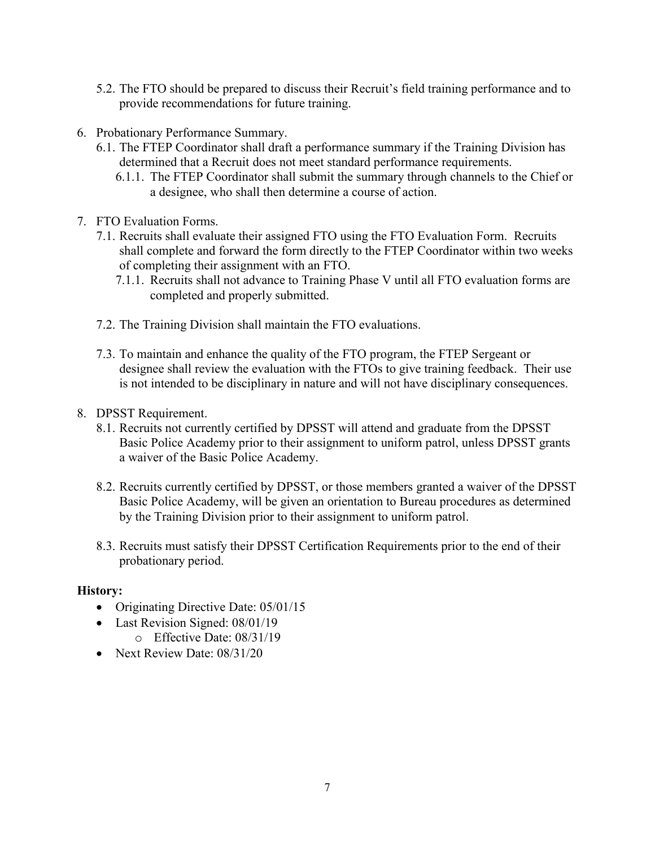- 5.2. The FTO should be prepared to discuss their Recruit's field training performance and to provide recommendations for future training.
- 6. Probationary Performance Summary.
	- 6.1. The FTEP Coordinator shall draft a performance summary if the Training Division has determined that a Recruit does not meet standard performance requirements.
		- 6.1.1. The FTEP Coordinator shall submit the summary through channels to the Chief or a designee, who shall then determine a course of action.
- 7. FTO Evaluation Forms.
	- 7.1. Recruits shall evaluate their assigned FTO using the FTO Evaluation Form. Recruits shall complete and forward the form directly to the FTEP Coordinator within two weeks of completing their assignment with an FTO.
		- 7.1.1. Recruits shall not advance to Training Phase V until all FTO evaluation forms are completed and properly submitted.
	- 7.2. The Training Division shall maintain the FTO evaluations.
	- 7.3. To maintain and enhance the quality of the FTO program, the FTEP Sergeant or designee shall review the evaluation with the FTOs to give training feedback. Their use is not intended to be disciplinary in nature and will not have disciplinary consequences.
- 8. DPSST Requirement.
	- 8.1. Recruits not currently certified by DPSST will attend and graduate from the DPSST Basic Police Academy prior to their assignment to uniform patrol, unless DPSST grants a waiver of the Basic Police Academy.
	- 8.2. Recruits currently certified by DPSST, or those members granted a waiver of the DPSST Basic Police Academy, will be given an orientation to Bureau procedures as determined by the Training Division prior to their assignment to uniform patrol.
	- 8.3. Recruits must satisfy their DPSST Certification Requirements prior to the end of their probationary period.

### **History:**

- Originating Directive Date: 05/01/15
- Last Revision Signed: 08/01/19
	- o Effective Date: 08/31/19
- Next Review Date: 08/31/20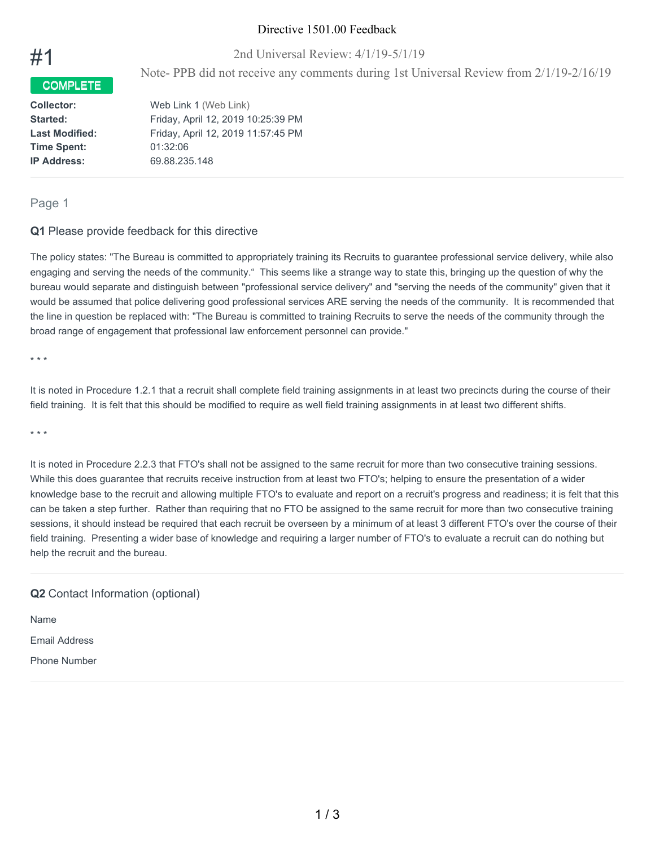### Directive 1501.00 Feedback

2nd Universal Review: 4/1/19-5/1/19

Note- PPB did not receive any comments during 1st Universal Review from 2/1/19-2/16/19

**Time Spent:** 01:32:06 **IP Address:** 69.88.235.148

COMPLETE

**Collector:** Web Link 1 (Web Link) **Started:** Friday, April 12, 2019 10:25:39 PM **Last Modified:** Friday, April 12, 2019 11:57:45 PM

### Page 1

#1

#### **Q1** Please provide feedback for this directive

The policy states: "The Bureau is committed to appropriately training its Recruits to guarantee professional service delivery, while also engaging and serving the needs of the community." This seems like a strange way to state this, bringing up the question of why the bureau would separate and distinguish between "professional service delivery" and "serving the needs of the community" given that it would be assumed that police delivering good professional services ARE serving the needs of the community. It is recommended that the line in question be replaced with: "The Bureau is committed to training Recruits to serve the needs of the community through the broad range of engagement that professional law enforcement personnel can provide."

\* \* \*

It is noted in Procedure 1.2.1 that a recruit shall complete field training assignments in at least two precincts during the course of their field training. It is felt that this should be modified to require as well field training assignments in at least two different shifts.

\* \* \*

It is noted in Procedure 2.2.3 that FTO's shall not be assigned to the same recruit for more than two consecutive training sessions. While this does guarantee that recruits receive instruction from at least two FTO's; helping to ensure the presentation of a wider knowledge base to the recruit and allowing multiple FTO's to evaluate and report on a recruit's progress and readiness; it is felt that this can be taken a step further. Rather than requiring that no FTO be assigned to the same recruit for more than two consecutive training sessions, it should instead be required that each recruit be overseen by a minimum of at least 3 different FTO's over the course of their field training. Presenting a wider base of knowledge and requiring a larger number of FTO's to evaluate a recruit can do nothing but help the recruit and the bureau.

### **Q2** Contact Information (optional)

Name

Email Address

Phone Number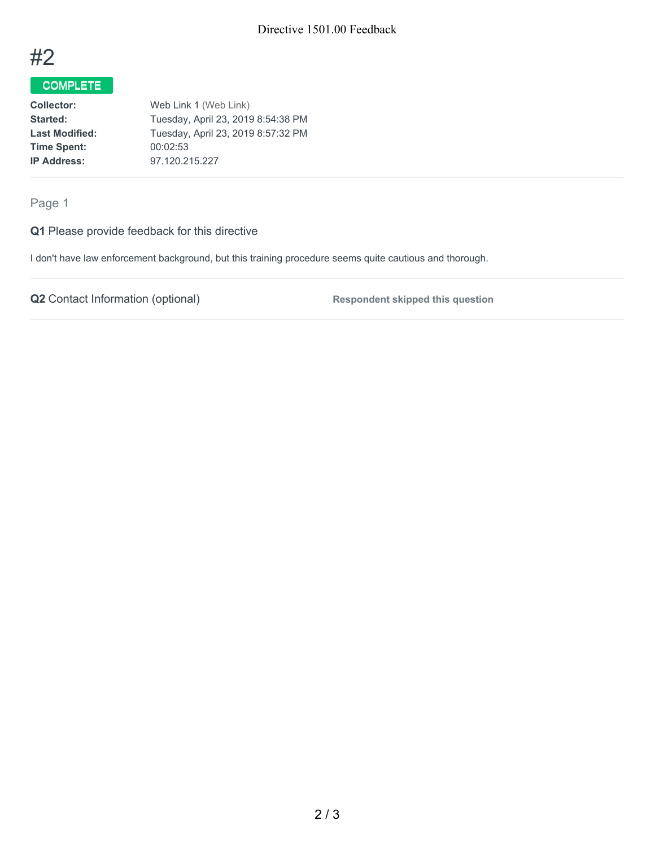

# COMPLETE

**Collector:** Web Link 1 (Web Link) Started: Tuesday, April 23, 2019 8:54:38 PM Last Modified: Tuesday, April 23, 2019 8:57:32 PM **Time Spent:** 00:02:53 **IP Address:** 97.120.215.227

Page 1

**Q1** Please provide feedback for this directive

I don't have law enforcement background, but this training procedure seems quite cautious and thorough.

**Q2** Contact Information (optional) **Respondent skipped** this question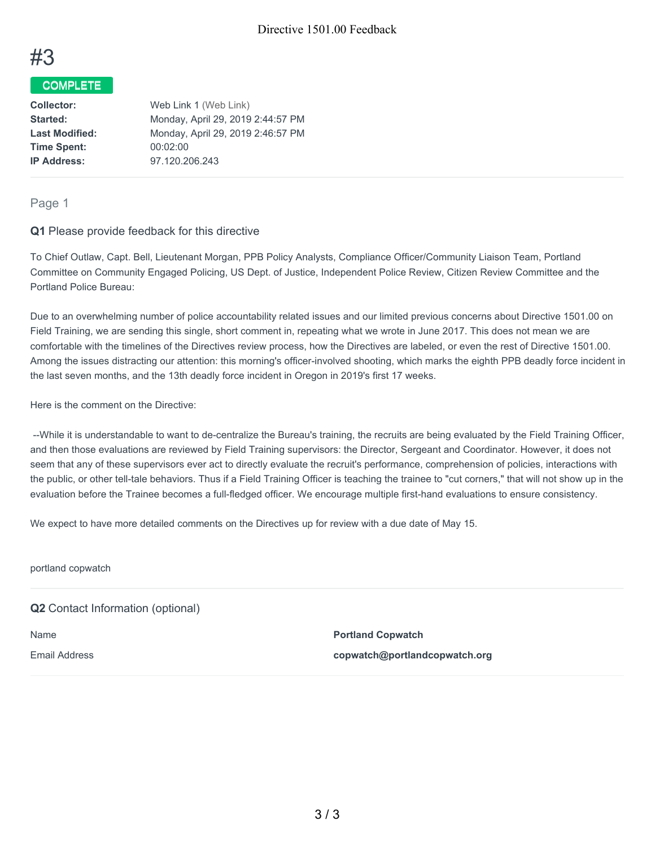

### COMPLETE

| <b>Collector:</b>     | Web Link 1 (Web Link)             |
|-----------------------|-----------------------------------|
| Started:              | Monday, April 29, 2019 2:44:57 PM |
| <b>Last Modified:</b> | Monday, April 29, 2019 2:46:57 PM |
| <b>Time Spent:</b>    | 00:02:00                          |
| <b>IP Address:</b>    | 97.120.206.243                    |
|                       |                                   |

#### Page 1

#### **Q1** Please provide feedback for this directive

To Chief Outlaw, Capt. Bell, Lieutenant Morgan, PPB Policy Analysts, Compliance Officer/Community Liaison Team, Portland Committee on Community Engaged Policing, US Dept. of Justice, Independent Police Review, Citizen Review Committee and the Portland Police Bureau:

Due to an overwhelming number of police accountability related issues and our limited previous concerns about Directive 1501.00 on Field Training, we are sending this single, short comment in, repeating what we wrote in June 2017. This does not mean we are comfortable with the timelines of the Directives review process, how the Directives are labeled, or even the rest of Directive 1501.00. Among the issues distracting our attention: this morning's officer-involved shooting, which marks the eighth PPB deadly force incident in the last seven months, and the 13th deadly force incident in Oregon in 2019's first 17 weeks.

Here is the comment on the Directive:

--While it is understandable to want to de-centralize the Bureau's training, the recruits are being evaluated by the Field Training Officer, and then those evaluations are reviewed by Field Training supervisors: the Director, Sergeant and Coordinator. However, it does not seem that any of these supervisors ever act to directly evaluate the recruit's performance, comprehension of policies, interactions with the public, or other tell-tale behaviors. Thus if a Field Training Officer is teaching the trainee to "cut corners," that will not show up in the evaluation before the Trainee becomes a full-fledged officer. We encourage multiple first-hand evaluations to ensure consistency.

We expect to have more detailed comments on the Directives up for review with a due date of May 15.

portland copwatch

### **Q2** Contact Information (optional)

Name **Portland Copwatch** Email Address **copwatch@portlandcopwatch.org**